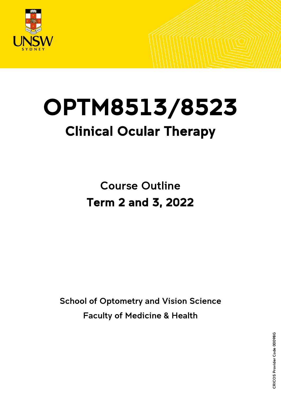

# OPTM8513/8523 Clinical Ocular Therapy

Course Outline Term 2 and 3, 2022

School of Optometry and Vision Science Faculty of Medicine & Health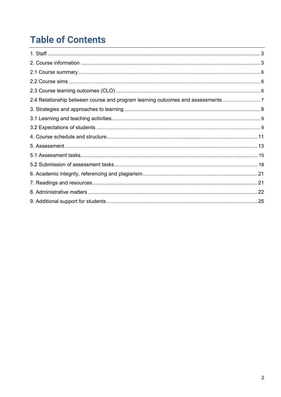## **Table of Contents**

| 2.4 Relationship between course and program learning outcomes and assessments |  |
|-------------------------------------------------------------------------------|--|
|                                                                               |  |
|                                                                               |  |
|                                                                               |  |
|                                                                               |  |
|                                                                               |  |
|                                                                               |  |
|                                                                               |  |
|                                                                               |  |
|                                                                               |  |
|                                                                               |  |
|                                                                               |  |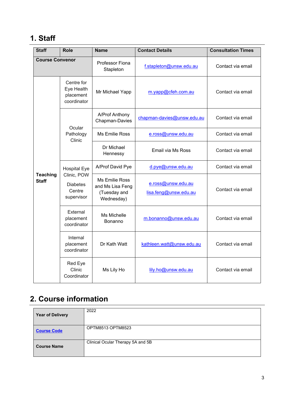### <span id="page-2-0"></span>**1. Staff**

| <b>Staff</b>                    | <b>Role</b>                                            | <b>Name</b>                                                             | <b>Contact Details</b>                      | <b>Consultation Times</b> |
|---------------------------------|--------------------------------------------------------|-------------------------------------------------------------------------|---------------------------------------------|---------------------------|
| <b>Course Convenor</b>          |                                                        | Professor Fiona<br>Stapleton                                            | f.stapleton@unsw.edu.au                     | Contact via email         |
|                                 | Centre for<br>Eye Health<br>placement<br>coordinator   | Mr Michael Yapp                                                         | m.yapp@cfeh.com.au                          | Contact via email         |
|                                 | Ocular                                                 | A/Prof Anthony<br>Chapman-Davies                                        | chapman-davies@unsw.edu.au                  | Contact via email         |
|                                 | Pathology<br>Clinic                                    | <b>Ms Emilie Ross</b>                                                   | e.ross@unsw.edu.au                          | Contact via email         |
|                                 |                                                        | Dr Michael<br>Hennessy                                                  | Email via Ms Ross                           | Contact via email         |
|                                 | <b>Hospital Eye</b>                                    | A/Prof David Pye                                                        | d.pye@unsw.edu.au                           | Contact via email         |
| <b>Teaching</b><br><b>Staff</b> | Clinic, POW<br><b>Diabetes</b><br>Centre<br>supervisor | <b>Ms Emilie Ross</b><br>and Ms Lisa Feng<br>(Tuesday and<br>Wednesday) | e.ross@unsw.edu.au<br>lisa.feng@unsw.edu.au | Contact via email         |
|                                 | External<br>placement<br>coordinator                   | Ms Michelle<br>Bonanno                                                  | m.bonanno@unsw.edu.au                       | Contact via email         |
|                                 | Internal<br>placement<br>coordinator                   | Dr Kath Watt                                                            | kathleen.watt@unsw.edu.au                   | Contact via email         |
|                                 | Red Eye<br>Clinic<br>Coordinator                       | Ms Lily Ho                                                              | lily.ho@unsw.edu.au                         | Contact via email         |

### <span id="page-2-1"></span>**2. Course information**

| <b>Year of Delivery</b> | 2022                              |
|-------------------------|-----------------------------------|
| <b>Course Code</b>      | OPTM8513 OPTM8523                 |
| <b>Course Name</b>      | Clinical Ocular Therapy 5A and 5B |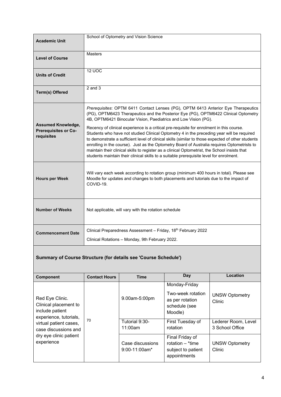| <b>Academic Unit</b>                                            | School of Optometry and Vision Science                                                                                                                                                                                                                                                                                                                                                                                                                                                                                                                                                |
|-----------------------------------------------------------------|---------------------------------------------------------------------------------------------------------------------------------------------------------------------------------------------------------------------------------------------------------------------------------------------------------------------------------------------------------------------------------------------------------------------------------------------------------------------------------------------------------------------------------------------------------------------------------------|
| <b>Level of Course</b>                                          | <b>Masters</b>                                                                                                                                                                                                                                                                                                                                                                                                                                                                                                                                                                        |
| <b>Units of Credit</b>                                          | <b>12 UOC</b>                                                                                                                                                                                                                                                                                                                                                                                                                                                                                                                                                                         |
| Term(s) Offered                                                 | $2$ and $3$                                                                                                                                                                                                                                                                                                                                                                                                                                                                                                                                                                           |
| <b>Assumed Knowledge,</b><br>Prerequisites or Co-<br>requisites | Prerequisites: OPTM 6411 Contact Lenses (PG), OPTM 6413 Anterior Eye Therapeutics<br>(PG), OPTM6423 Therapeutics and the Posterior Eye (PG), OPTM6422 Clinical Optometry<br>4B, OPTM6421 Binocular Vision, Paediatrics and Low Vision (PG).                                                                                                                                                                                                                                                                                                                                           |
|                                                                 | Recency of clinical experience is a critical pre-requisite for enrolment in this course.<br>Students who have not studied Clinical Optometry 4 in the preceding year will be required<br>to demonstrate a sufficient level of clinical skills (similar to those expected of other students<br>enrolling in the course). Just as the Optometry Board of Australia requires Optometrists to<br>maintain their clinical skills to register as a clinical Optometrist, the School insists that<br>students maintain their clinical skills to a suitable prerequisite level for enrolment. |
| <b>Hours per Week</b>                                           | Will vary each week according to rotation group (minimum 400 hours in total). Please see<br>Moodle for updates and changes to both placements and tutorials due to the impact of<br>COVID-19.                                                                                                                                                                                                                                                                                                                                                                                         |
| <b>Number of Weeks</b>                                          | Not applicable, will vary with the rotation schedule                                                                                                                                                                                                                                                                                                                                                                                                                                                                                                                                  |
| <b>Commencement Date</b>                                        | Clinical Preparedness Assessment - Friday, 18th February 2022<br>Clinical Rotations - Monday, 9th February 2022.                                                                                                                                                                                                                                                                                                                                                                                                                                                                      |

#### **Summary of Course Structure (for details see 'Course Schedule')**

| <b>Component</b>                                                                                                                        | <b>Contact Hours</b> | <b>Time</b>                         | <b>Day</b>                                                                        | Location                               |
|-----------------------------------------------------------------------------------------------------------------------------------------|----------------------|-------------------------------------|-----------------------------------------------------------------------------------|----------------------------------------|
| Red Eye Clinic.<br>Clinical placement to<br>include patient<br>experience, tutorials,<br>virtual patient cases,<br>case discussions and | 70                   | 9.00am-5:00pm                       | Monday-Friday<br>Two-week rotation<br>as per rotation<br>schedule (see<br>Moodle) | <b>UNSW Optometry</b><br>Clinic        |
|                                                                                                                                         |                      | Tutorial 9:30-<br>11:00am           | First Tuesday of<br>rotation                                                      | Lederer Room, Level<br>3 School Office |
| dry eye clinic patient<br>experience                                                                                                    |                      | Case discussions<br>$9:00-11:00am*$ | Final Friday of<br>rotation $-$ *time<br>subject to patient<br>appointments       | <b>UNSW Optometry</b><br>Clinic        |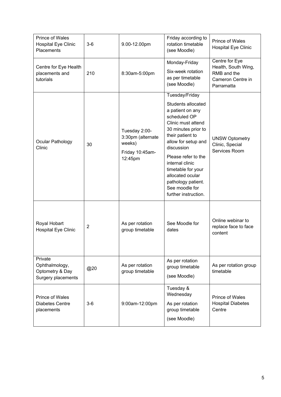| Prince of Wales<br><b>Hospital Eye Clinic</b><br>Placements        | $3-6$          | 9.00-12.00pm                                                               | Friday according to<br>rotation timetable<br>(see Moodle)                                                                                                                                                                                                                                                                          | <b>Prince of Wales</b><br><b>Hospital Eye Clinic</b>                                    |
|--------------------------------------------------------------------|----------------|----------------------------------------------------------------------------|------------------------------------------------------------------------------------------------------------------------------------------------------------------------------------------------------------------------------------------------------------------------------------------------------------------------------------|-----------------------------------------------------------------------------------------|
| Centre for Eye Health<br>placements and<br>tutorials               | 210            | 8:30am-5:00pm                                                              | Monday-Friday<br>Six-week rotation<br>as per timetable<br>(see Moodle)                                                                                                                                                                                                                                                             | Centre for Eye<br>Health, South Wing,<br>RMB and the<br>Cameron Centre in<br>Parramatta |
| Ocular Pathology<br>Clinic                                         | 30             | Tuesday 2:00-<br>3:30pm (alternate<br>weeks)<br>Friday 10:45am-<br>12:45pm | Tuesday/Friday<br>Students allocated<br>a patient on any<br>scheduled OP<br>Clinic must attend<br>30 minutes prior to<br>their patient to<br>allow for setup and<br>discussion<br>Please refer to the<br>internal clinic<br>timetable for your<br>allocated ocular<br>pathology patient.<br>See moodle for<br>further instruction. | <b>UNSW Optometry</b><br>Clinic, Special<br>Services Room                               |
| Royal Hobart<br><b>Hospital Eye Clinic</b>                         | $\overline{2}$ | As per rotation<br>group timetable                                         | See Moodle for<br>dates                                                                                                                                                                                                                                                                                                            | Online webinar to<br>replace face to face<br>content                                    |
| Private<br>Ophthalmology,<br>Optometry & Day<br>Surgery placements | @20            | As per rotation<br>group timetable                                         | As per rotation<br>group timetable<br>(see Moodle)                                                                                                                                                                                                                                                                                 | As per rotation group<br>timetable                                                      |
| Prince of Wales<br><b>Diabetes Centre</b><br>placements            | $3-6$          | 9:00am-12:00pm                                                             | Tuesday &<br>Wednesday<br>As per rotation<br>group timetable<br>(see Moodle)                                                                                                                                                                                                                                                       | <b>Prince of Wales</b><br><b>Hospital Diabetes</b><br>Centre                            |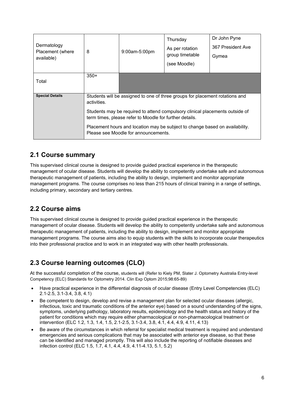| Dermatology<br>Placement (where<br>available) | 8                                                                                                                                       | 9:00am-5:00pm | Thursday<br>As per rotation<br>group timetable<br>(see Moodle) | Dr John Pyne<br>367 President Ave<br>Gymea |
|-----------------------------------------------|-----------------------------------------------------------------------------------------------------------------------------------------|---------------|----------------------------------------------------------------|--------------------------------------------|
| Total                                         | $350+$                                                                                                                                  |               |                                                                |                                            |
| <b>Special Details</b>                        | Students will be assigned to one of three groups for placement rotations and<br>activities.                                             |               |                                                                |                                            |
|                                               | Students may be required to attend compulsory clinical placements outside of<br>term times, please refer to Moodle for further details. |               |                                                                |                                            |
|                                               | Placement hours and location may be subject to change based on availability.<br>Please see Moodle for announcements.                    |               |                                                                |                                            |

### <span id="page-5-0"></span>**2.1 Course summary**

This supervised clinical course is designed to provide guided practical experience in the therapeutic management of ocular disease. Students will develop the ability to competently undertake safe and autonomous therapeutic management of patients, including the ability to design, implement and monitor appropriate management programs. The course comprises no less than 215 hours of clinical training in a range of settings, including primary, secondary and tertiary centres.

### <span id="page-5-1"></span>**2.2 Course aims**

This supervised clinical course is designed to provide guided practical experience in the therapeutic management of ocular disease. Students will develop the ability to competently undertake safe and autonomous therapeutic management of patients, including the ability to design, implement and monitor appropriate management programs. The course aims also to equip students with the skills to incorporate ocular therapeutics into their professional practice and to work in an integrated way with other health professionals.

### <span id="page-5-2"></span>**2.3 Course learning outcomes (CLO)**

At the successful completion of the course, students will (Refer to Kiely PM, Slater J. Optometry Australia Entry-level Competency (ELC) Standards for Optometry 2014. Clin Exp Optom 2015;98:65-89)

- Have practical experience in the differential diagnosis of ocular disease (Entry Level Competencies (ELC) 2.1-2.5, 3.1-3.4, 3.8, 4.1)
- Be competent to design, develop and revise a management plan for selected ocular diseases (allergic, infectious, toxic and traumatic conditions of the anterior eye) based on a sound understanding of the signs, symptoms, underlying pathology, laboratory results, epidemiology and the health status and history of the patient for conditions which may require either pharmacological or non-pharmacological treatment or intervention (ELC 1.2, 1.3, 1.4, 1.5, 2.1-2.5, 3.1-3.4, 3.8, 4.1, 4.4, 4.9, 4.11, 4.13)
- Be aware of the circumstances in which referral for specialist medical treatment is required and understand emergencies and serious complications that may be associated with anterior eye disease, so that these can be identified and managed promptly. This will also include the reporting of notifiable diseases and infection control (ELC 1.5, 1.7, 4.1, 4.4, 4.9, 4.11-4.13, 5.1, 5.2)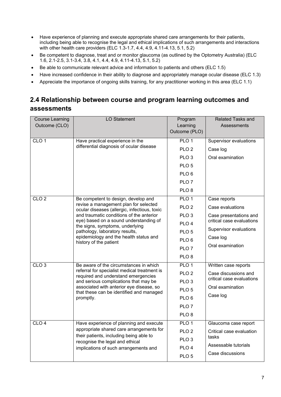- Have experience of planning and execute appropriate shared care arrangements for their patients, including being able to recognise the legal and ethical implications of such arrangements and interactions with other health care providers (ELC 1.3-1.7, 4.4, 4.9, 4.11-4.13, 5.1, 5.2)
- Be competent to diagnose, treat and or monitor glaucoma (as outlined by the Optometry Australia) (ELC 1.6, 2.1-2.5, 3.1-3.4, 3.8, 4.1, 4.4, 4.9, 4.11-4.13, 5.1, 5.2)
- Be able to communicate relevant advice and information to patients and others (ELC 1.5)
- Have increased confidence in their ability to diagnose and appropriately manage ocular disease (ELC 1.3)
- <span id="page-6-0"></span>• Appreciate the importance of ongoing skills training, for any practitioner working in this area (ELC 1.1)

### **2.4 Relationship between course and program learning outcomes and assessments**

| <b>Course Learning</b> | <b>LO Statement</b>                                                                                                                                                             | Program          | Related Tasks and         |
|------------------------|---------------------------------------------------------------------------------------------------------------------------------------------------------------------------------|------------------|---------------------------|
| Outcome (CLO)          |                                                                                                                                                                                 | Learning         | Assessments               |
|                        |                                                                                                                                                                                 | Outcome (PLO)    |                           |
| CLO <sub>1</sub>       | Have practical experience in the                                                                                                                                                | PLO <sub>1</sub> | Supervisor evaluations    |
|                        | differential diagnosis of ocular disease                                                                                                                                        | PLO <sub>2</sub> | Case log                  |
|                        |                                                                                                                                                                                 | PLO <sub>3</sub> | Oral examination          |
|                        |                                                                                                                                                                                 | PLO <sub>5</sub> |                           |
|                        |                                                                                                                                                                                 | PLO <sub>6</sub> |                           |
|                        |                                                                                                                                                                                 | PLO <sub>7</sub> |                           |
|                        |                                                                                                                                                                                 | PLO <sub>8</sub> |                           |
| CLO <sub>2</sub>       | Be competent to design, develop and                                                                                                                                             | PLO <sub>1</sub> | Case reports              |
|                        | revise a management plan for selected<br>ocular diseases (allergic, infectious, toxic                                                                                           | PLO <sub>2</sub> | Case evaluations          |
|                        | and traumatic conditions of the anterior                                                                                                                                        | PLO <sub>3</sub> | Case presentations and    |
|                        | eye) based on a sound understanding of<br>the signs, symptoms, underlying<br>pathology, laboratory results,<br>epidemiology and the health status and<br>history of the patient | PLO <sub>4</sub> | critical case evaluations |
|                        |                                                                                                                                                                                 | PLO <sub>5</sub> | Supervisor evaluations    |
|                        |                                                                                                                                                                                 | PLO <sub>6</sub> | Case log                  |
|                        |                                                                                                                                                                                 | PLO <sub>7</sub> | Oral examination          |
|                        |                                                                                                                                                                                 | PLO <sub>8</sub> |                           |
| CLO <sub>3</sub>       | Be aware of the circumstances in which                                                                                                                                          | PLO <sub>1</sub> | Written case reports      |
|                        | referral for specialist medical treatment is<br>required and understand emergencies                                                                                             | PLO <sub>2</sub> | Case discussions and      |
|                        | and serious complications that may be                                                                                                                                           | PLO <sub>3</sub> | critical case evaluations |
|                        | associated with anterior eye disease, so<br>that these can be identified and managed                                                                                            | PLO <sub>5</sub> | Oral examination          |
|                        | promptly.                                                                                                                                                                       | PLO <sub>6</sub> | Case log                  |
|                        |                                                                                                                                                                                 | PLO <sub>7</sub> |                           |
|                        |                                                                                                                                                                                 | PLO <sub>8</sub> |                           |
| CLO <sub>4</sub>       | Have experience of planning and execute                                                                                                                                         | PLO <sub>1</sub> | Glaucoma case report      |
|                        | appropriate shared care arrangements for                                                                                                                                        | PLO <sub>2</sub> | Critical case evaluation  |
|                        | their patients, including being able to<br>recognise the legal and ethical                                                                                                      | PLO <sub>3</sub> | tasks                     |
|                        | implications of such arrangements and                                                                                                                                           | PLO <sub>4</sub> | Assessable tutorials      |
|                        |                                                                                                                                                                                 | PLO <sub>5</sub> | Case discussions          |
|                        |                                                                                                                                                                                 |                  |                           |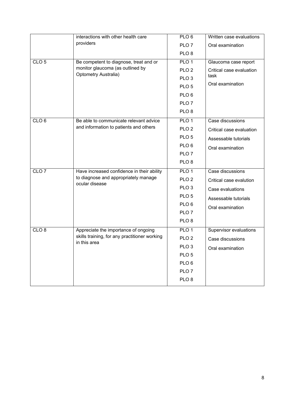|                  | interactions with other health care                           | PLO <sub>6</sub> | Written case evaluations |
|------------------|---------------------------------------------------------------|------------------|--------------------------|
|                  | providers                                                     | PLO <sub>7</sub> | Oral examination         |
|                  |                                                               | PLO <sub>8</sub> |                          |
| CLO <sub>5</sub> | Be competent to diagnose, treat and or                        | PLO <sub>1</sub> | Glaucoma case report     |
|                  | monitor glaucoma (as outlined by                              | PLO <sub>2</sub> | Critical case evaluation |
|                  | Optometry Australia)                                          | PLO <sub>3</sub> | task                     |
|                  |                                                               | PLO <sub>5</sub> | Oral examination         |
|                  |                                                               | PLO <sub>6</sub> |                          |
|                  |                                                               | PLO <sub>7</sub> |                          |
|                  |                                                               | PLO <sub>8</sub> |                          |
| CLO <sub>6</sub> | Be able to communicate relevant advice                        | PLO <sub>1</sub> | Case discussions         |
|                  | and information to patients and others                        | PLO <sub>2</sub> | Critical case evaluation |
|                  |                                                               | PLO <sub>5</sub> | Assessable tutorials     |
|                  |                                                               | PLO <sub>6</sub> | Oral examination         |
|                  |                                                               | PLO <sub>7</sub> |                          |
|                  |                                                               | PLO <sub>8</sub> |                          |
| CLO <sub>7</sub> | Have increased confidence in their ability                    | PLO <sub>1</sub> | Case discussions         |
|                  | to diagnose and appropriately manage<br>ocular disease        | PLO <sub>2</sub> | Critical case evalution  |
|                  |                                                               | PLO <sub>3</sub> | Case evaluations         |
|                  |                                                               | PLO <sub>5</sub> | Assessable tutorials     |
|                  |                                                               | PLO <sub>6</sub> | Oral examination         |
|                  |                                                               | PLO <sub>7</sub> |                          |
|                  |                                                               | PLO <sub>8</sub> |                          |
| CLO <sub>8</sub> | Appreciate the importance of ongoing                          | PLO <sub>1</sub> | Supervisor evaluations   |
|                  | skills training, for any practitioner working<br>in this area | PLO <sub>2</sub> | Case discussions         |
|                  |                                                               | PLO <sub>3</sub> | Oral examination         |
|                  |                                                               | PLO <sub>5</sub> |                          |
|                  |                                                               | PLO <sub>6</sub> |                          |
|                  |                                                               | PLO <sub>7</sub> |                          |
|                  |                                                               | PLO <sub>8</sub> |                          |
|                  |                                                               |                  |                          |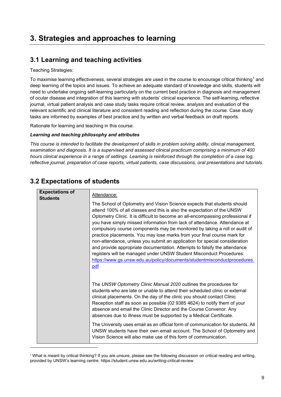### <span id="page-8-0"></span>**3. Strategies and approaches to learning**

### <span id="page-8-1"></span>**3.1 Learning and teaching activities**

Teaching Strategies:

To maximise learning effectiveness, several strategies are used in the course to encourage critical thinking<sup>[1](#page-8-3)</sup> and deep learning of the topics and issues. To achieve an adequate standard of knowledge and skills, students will need to undertake ongoing self-learning particularly on the current best practice in diagnosis and management of ocular disease and integration of this learning with students' clinical experience. The self-learning, reflective journal, virtual patient analysis and case study tasks require critical review, analysis and evaluation of the relevant scientific and clinical literature and consistent reading and reflection during the course. Case study tasks are informed by examples of best practice and by written and verbal feedback on draft reports.

Rationale for learning and teaching in this course:

#### *Learning and teaching philosophy and attributes*

*This course is intended to facilitate the development of skills in problem solving ability, clinical management, examination and diagnosis. It is a supervised and assessed clinical practicum comprising a minimum of 400*  hours clinical experience in a range of settings. Learning is reinforced through the completion of a case log, *reflective journal, preparation of case reports, virtual patients, case discussions, oral presentations and tutorials.*

| <b>Expectations of</b><br><b>Students</b> | Attendance:<br>The School of Optometry and Vision Science expects that students should<br>attend 100% of all classes and this is also the expectation of the UNSW<br>Optometry Clinic. It is difficult to become an all-encompassing professional if                                                                                                                                                                                                                                                                                                                                                                                                                                      |
|-------------------------------------------|-------------------------------------------------------------------------------------------------------------------------------------------------------------------------------------------------------------------------------------------------------------------------------------------------------------------------------------------------------------------------------------------------------------------------------------------------------------------------------------------------------------------------------------------------------------------------------------------------------------------------------------------------------------------------------------------|
|                                           | you have simply missed information from lack of attendance. Attendance at<br>compulsory course components may be monitored by taking a roll or audit of<br>practice placements. You may lose marks from your final course mark for<br>non-attendance, unless you submit an application for special consideration<br>and provide appropriate documentation. Attempts to falsify the attendance<br>registers will be managed under UNSW Student Misconduct Procedures:<br>https://www.gs.unsw.edu.au/policy/documents/studentmisconductprocedures.<br>pdf                                                                                                                                   |
|                                           | The UNSW Optometry Clinic Manual 2020 outlines the procedures for<br>students who are late or unable to attend their scheduled clinic or external<br>clinical placements. On the day of the clinic you should contact Clinic<br>Reception staff as soon as possible (02 9385 4624) to notify them of your<br>absence and email the Clinic Director and the Course Convenor. Any<br>absences due to illness must be supported by a Medical Certificate.<br>The University uses email as an official form of communication for students. All<br>UNSW students have their own email account. The School of Optometry and<br>Vision Science will also make use of this form of communication. |

### <span id="page-8-2"></span>**3.2 Expectations of students**

<span id="page-8-3"></span><sup>1</sup> What is meant by critical thinking? If you are unsure, please see the following discussion on critical reading and writing, provided by UNSW's learning centre: https://student.unsw.edu.au/writing-critical-review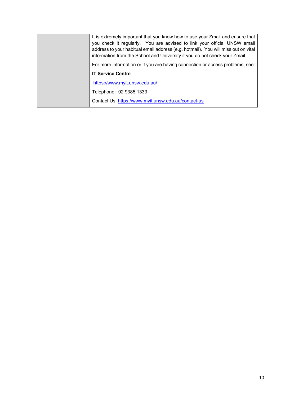| It is extremely important that you know how to use your Zmail and ensure that<br>you check it regularly. You are advised to link your official UNSW email<br>address to your habitual email address (e.g. hotmail). You will miss out on vital<br>information from the School and University if you do not check your Zmail. |
|------------------------------------------------------------------------------------------------------------------------------------------------------------------------------------------------------------------------------------------------------------------------------------------------------------------------------|
| For more information or if you are having connection or access problems, see:                                                                                                                                                                                                                                                |
| <b>IT Service Centre</b>                                                                                                                                                                                                                                                                                                     |
| https://www.myit.unsw.edu.au/                                                                                                                                                                                                                                                                                                |
| Telephone: 02 9385 1333                                                                                                                                                                                                                                                                                                      |
| Contact Us: https://www.myit.unsw.edu.au/contact-us                                                                                                                                                                                                                                                                          |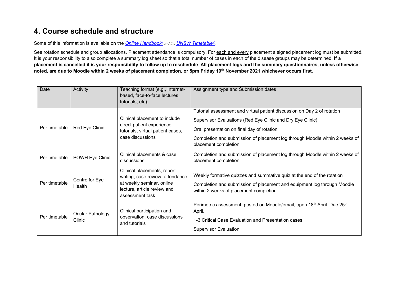### **4. Course schedule and structure**

Some of this information is available on the *[Online Handbook](https://www.handbook.unsw.edu.au/)*<sup>1</sup> *and the [UNSW Timetable](http://timetable.unsw.edu.au/2022/subjectSearch.html)*[2](http://timetable.unsw.edu.au/2022/subjectSearch.html)*.*

See rotation schedule and group allocations. Placement attendance is compulsory. For each and every placement a signed placement log must be submitted. It is your responsibility to also complete a summary log sheet so that a total number of cases in each of the disease groups may be determined. **If a placement is cancelled it is your responsibility to follow up to reschedule**. **All placement logs and the summary questionnaires, unless otherwise noted, are due to Moodle within 2 weeks of placement completion, or 5pm Friday 19th November 2021 whichever occurs first.** 

<span id="page-10-0"></span>

| Date          | Activity                   | Teaching format (e.g., Internet-<br>based, face-to-face lectures,<br>tutorials, etc).                                                          | Assignment type and Submission dates                                                                                                                                                                                                                                                       |
|---------------|----------------------------|------------------------------------------------------------------------------------------------------------------------------------------------|--------------------------------------------------------------------------------------------------------------------------------------------------------------------------------------------------------------------------------------------------------------------------------------------|
| Per timetable | Red Eye Clinic             | Clinical placement to include<br>direct patient experience,<br>tutorials, virtual patient cases,<br>case discussions                           | Tutorial assessment and virtual patient discussion on Day 2 of rotation<br>Supervisor Evaluations (Red Eye Clinic and Dry Eye Clinic)<br>Oral presentation on final day of rotation<br>Completion and submission of placement log through Moodle within 2 weeks of<br>placement completion |
| Per timetable | POWH Eye Clinic            | Clinical placements & case<br>discussions                                                                                                      | Completion and submission of placement log through Moodle within 2 weeks of<br>placement completion                                                                                                                                                                                        |
| Per timetable | Centre for Eye<br>Health   | Clinical placements, report<br>writing, case review, attendance<br>at weekly seminar, online<br>lecture, article review and<br>assessment task | Weekly formative quizzes and summative quiz at the end of the rotation<br>Completion and submission of placement and equipment log through Moodle<br>within 2 weeks of placement completion                                                                                                |
| Per timetable | Ocular Pathology<br>Clinic | Clinical participation and<br>observation, case discussions<br>and tutorials                                                                   | Perimetric assessment, posted on Moodle/email, open 18 <sup>th</sup> April. Due 25 <sup>th</sup><br>April.<br>1-3 Critical Case Evaluation and Presentation cases.<br><b>Supervisor Evaluation</b>                                                                                         |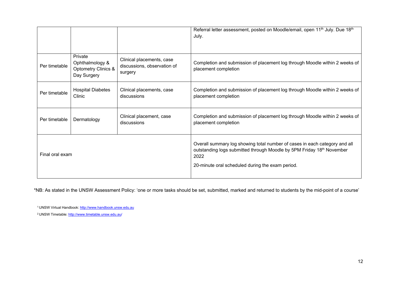|                 |                                                                             |                                                                     | Referral letter assessment, posted on Moodle/email, open 11 <sup>th</sup> July. Due 18 <sup>th</sup><br>July.                                                                                                   |
|-----------------|-----------------------------------------------------------------------------|---------------------------------------------------------------------|-----------------------------------------------------------------------------------------------------------------------------------------------------------------------------------------------------------------|
| Per timetable   | Private<br>Ophthalmology &<br><b>Optometry Clinics &amp;</b><br>Day Surgery | Clinical placements, case<br>discussions, observation of<br>surgery | Completion and submission of placement log through Moodle within 2 weeks of<br>placement completion                                                                                                             |
| Per timetable   | <b>Hospital Diabetes</b><br>Clinic                                          | Clinical placements, case<br>discussions                            | Completion and submission of placement log through Moodle within 2 weeks of<br>placement completion                                                                                                             |
| Per timetable   | Dermatology                                                                 | Clinical placement, case<br>discussions                             | Completion and submission of placement log through Moodle within 2 weeks of<br>placement completion                                                                                                             |
| Final oral exam |                                                                             |                                                                     | Overall summary log showing total number of cases in each category and all<br>outstanding logs submitted through Moodle by 5PM Friday 18th November<br>2022<br>20-minute oral scheduled during the exam period. |

\*NB: As stated in the UNSW Assessment Policy: 'one or more tasks should be set, submitted, marked and returned to students by the mid-point of a course'

1 UNSW Virtual Handbook[: http://www.handbook.unsw.edu.au](https://www.handbook.unsw.edu.au/)

2 UNSW Timetable:<http://www.timetable.unsw.edu.au/>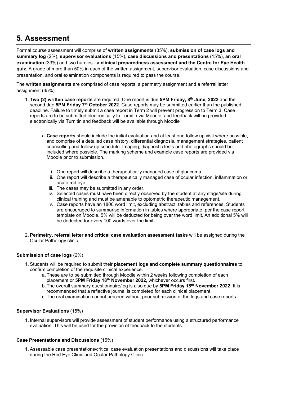### <span id="page-12-0"></span>**5. Assessment**

Formal course assessment will comprise of **written assignments** (35%), **submission of case logs and summary log** (2%), **supervisor evaluations** (15%), **case discussions and presentations** (15%), **an oral examination** (33%) and two hurdles - **a clinical preparedness assessment and the Centre for Eye Health quiz**. A grade of more than 50% in each of the written assignment, supervisor evaluation, case discussions and presentation, and oral examination components is required to pass the course.

The **written assignments** are comprised of case reports, a perimetry assignment and a referral letter assignment (35%)

- 1. **Two (2) written case reports** are required. One report is due **5PM Friday, 8th June, 2022** and the second due **5PM Friday 7th October 2022**. Case reports may be submitted earlier than the published deadline. Failure to timely submit a case report in Term 2 will prevent progression to Term 3. Case reports are to be submitted electronically to Turnitin via Moodle, and feedback will be provided electronically via Turnitin and feedback will be available through Moodle
	- a.**Case reports** should include the initial evaluation and at least one follow up visit where possible, and comprise of a detailed case history, differential diagnosis, management strategies, patient counselling and follow up schedule. Imaging, diagnostic tests and photographs should be included where possible. The marking scheme and example case reports are provided via Moodle prior to submission.
		- i. One report will describe a therapeutically managed case of glaucoma.
		- ii. One report will describe a therapeutically managed case of ocular infection, inflammation or acute red eye.
		- iii. The cases may be submitted in any order.
		- iv. Selected cases must have been directly observed by the student at any stage/site during clinical training and must be amenable to optometric therapeutic management.
		- v. Case reports have an 1800 word limit, excluding abstract, tables and references. Students are encouraged to summarise information in tables where appropriate, per the case report template on Moodle. 5% will be deducted for being over the word limit. An additional 5% will be deducted for every 100 words over the limit.
- 2. **Perimetry, referral letter and critical case evaluation assessment tasks** will be assigned during the Ocular Pathology clinic.

#### **Submission of case logs** (2%)

- 1. Students will be required to submit their **placement logs and complete summary questionnaires** to confirm completion of the requisite clinical experience.
	- a.These are to be submitted through Moodle within 2 weeks following completion of each placement or **5PM Friday 18th November 2022,** whichever occurs first**.**
	- b.The overall summary questionnaire/log is also due by **5PM Friday 18th November 2022**. It is recommended that a reflective journal is completed for each clinical placement.
	- c. The oral examination cannot proceed without prior submission of the logs and case reports

#### **Supervisor Evaluations** (15%)

1. Internal supervisors will provide assessment of student performance using a structured performance evaluation. This will be used for the provision of feedback to the students.

#### **Case Presentations and Discussions** (15%)

1. Assessable case presentations/critical case evaluation presentations and discussions will take place during the Red Eye Clinic and Ocular Pathology Clinic.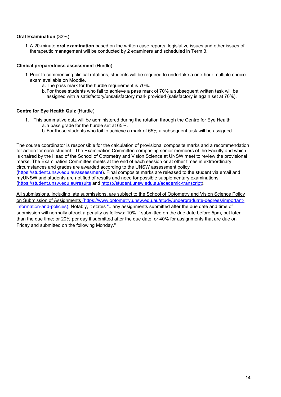#### **Oral Examination** (33%)

1. A 20-minute **oral examination** based on the written case reports, legislative issues and other issues of therapeutic management will be conducted by 2 examiners and scheduled in Term 3.

#### **Clinical preparedness assessment** (Hurdle)

- 1. Prior to commencing clinical rotations, students will be required to undertake a one-hour multiple choice exam available on Moodle.
	- a.The pass mark for the hurdle requirement is 70%.
	- b.For those students who fail to achieve a pass mark of 70% a subsequent written task will be assigned with a satisfactory/unsatisfactory mark provided (satisfactory is again set at 70%).

#### **Centre for Eye Health Quiz** (Hurdle)

- 1. This summative quiz will be administered during the rotation through the Centre for Eye Health a. a pass grade for the hurdle set at 65%.
	- b.For those students who fail to achieve a mark of 65% a subsequent task will be assigned.

The course coordinator is responsible for the calculation of provisional composite marks and a recommendation for action for each student. The Examination Committee comprising senior members of the Faculty and which is chaired by the Head of the School of Optometry and Vision Science at UNSW meet to review the provisional marks. The Examination Committee meets at the end of each session or at other times in extraordinary circumstances and grades are awarded according to the UNSW assessment policy [\(https://student.unsw.edu.au/assessment\)](https://student.unsw.edu.au/assessment). Final composite marks are released to the student via email and myUNSW and students are notified of results and need for possible supplementary examinations [\(https://student.unsw.edu.au/results](https://student.unsw.edu.au/results) and [https://student.unsw.edu.au/academic-transcript\)](https://student.unsw.edu.au/academic-transcript).

All submissions, including late submissions, are subject to the School of Optometry and Vision Science Policy on Submission of Assignments [\(https://www.optometry.unsw.edu.au/study/undergraduate-degrees/important](https://www.optometry.unsw.edu.au/study/undergraduate-degrees/important-information-and-policies)[information-and-policies\)](https://www.optometry.unsw.edu.au/study/undergraduate-degrees/important-information-and-policies). Notably, it states "...any assignments submitted after the due date and time of submission will normally attract a penalty as follows: 10% if submitted on the due date before 5pm, but later than the due time; or 20% per day if submitted after the due date; or 40% for assignments that are due on Friday and submitted on the following Monday."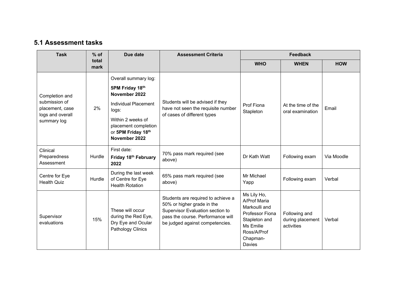### **5.1 Assessment tasks**

<span id="page-14-0"></span>

| <b>Task</b>                            | $%$ of        | Due date                                                                           | <b>Assessment Criteria</b>                                                                                                                                                   | <b>Feedback</b>                                                                                                                    |                                                 |            |
|----------------------------------------|---------------|------------------------------------------------------------------------------------|------------------------------------------------------------------------------------------------------------------------------------------------------------------------------|------------------------------------------------------------------------------------------------------------------------------------|-------------------------------------------------|------------|
|                                        | total<br>mark |                                                                                    |                                                                                                                                                                              | <b>WHO</b>                                                                                                                         | <b>WHEN</b>                                     | <b>HOW</b> |
|                                        | 2%            | Overall summary log:                                                               |                                                                                                                                                                              |                                                                                                                                    |                                                 |            |
| Completion and                         |               | 5PM Friday 18th<br>November 2022                                                   | Students will be advised if they<br>have not seen the requisite number                                                                                                       | Prof Fiona<br>Stapleton                                                                                                            | At the time of the<br>oral examination          | Email      |
| submission of<br>placement, case       |               | <b>Individual Placement</b><br>logs:                                               |                                                                                                                                                                              |                                                                                                                                    |                                                 |            |
| logs and overall<br>summary log        |               | Within 2 weeks of<br>placement completion<br>or 5PM Friday 18th<br>November 2022   | of cases of different types                                                                                                                                                  |                                                                                                                                    |                                                 |            |
| Clinical<br>Preparedness<br>Assessment | Hurdle        | First date:<br>Friday 18th February<br>2022                                        | 70% pass mark required (see<br>above)                                                                                                                                        | Dr Kath Watt                                                                                                                       | Following exam                                  | Via Moodle |
| Centre for Eye<br><b>Health Quiz</b>   | Hurdle        | During the last week<br>of Centre for Eye<br><b>Health Rotation</b>                | 65% pass mark required (see<br>above)                                                                                                                                        | Mr Michael<br>Yapp                                                                                                                 | Following exam                                  | Verbal     |
| Supervisor<br>evaluations              | 15%           | These will occur<br>during the Red Eye,<br>Dry Eye and Ocular<br>Pathology Clinics | Students are required to achieve a<br>50% or higher grade in the<br>Supervisor Evaluation section to<br>pass the course. Performance will<br>be judged against competencies. | Ms Lily Ho,<br>A/Prof Maria<br>Markoulli and<br>Professor Fiona<br>Stapleton and<br>Ms Emilie<br>Ross/A/Prof<br>Chapman-<br>Davies | Following and<br>during placement<br>activities | Verbal     |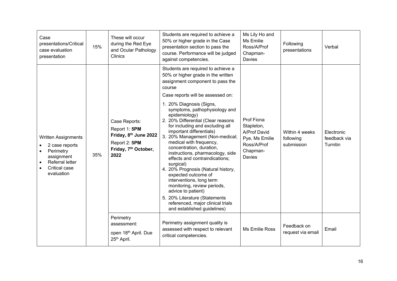| Case<br>presentations/Critical<br>case evaluation<br>presentation                                                         | 15% | Students are required to achieve a<br>These will occur<br>50% or higher grade in the Case<br>during the Red Eye<br>presentation section to pass the<br>and Ocular Pathology<br>course. Performance will be judged<br>Clinics<br>against competencies. |                                                                                                                                                                                                                                                                                                                                                                                                                                                                                                                                                                                                                                                                                                                                                                                | Ms Lily Ho and<br>Ms Emilie<br>Ross/A/Prof<br>Chapman-<br>Davies                                | Following<br>presentations                | Verbal                                 |
|---------------------------------------------------------------------------------------------------------------------------|-----|-------------------------------------------------------------------------------------------------------------------------------------------------------------------------------------------------------------------------------------------------------|--------------------------------------------------------------------------------------------------------------------------------------------------------------------------------------------------------------------------------------------------------------------------------------------------------------------------------------------------------------------------------------------------------------------------------------------------------------------------------------------------------------------------------------------------------------------------------------------------------------------------------------------------------------------------------------------------------------------------------------------------------------------------------|-------------------------------------------------------------------------------------------------|-------------------------------------------|----------------------------------------|
| <b>Written Assignments</b><br>2 case reports<br>Perimetry<br>assignment<br>Referral letter<br>Critical case<br>evaluation | 35% | Case Reports:<br>Report 1: 5PM<br>Friday, 8 <sup>th</sup> June 2022<br>Report 2: 5PM<br>Friday, 7 <sup>th</sup> October,<br>2022                                                                                                                      | Students are required to achieve a<br>50% or higher grade in the written<br>assignment component to pass the<br>course<br>Case reports will be assessed on:<br>1. 20% Diagnosis (Signs,<br>symptoms, pathophysiology and<br>epidemiology)<br>2. 20% Differential (Clear reasons<br>for including and excluding all<br>important differentials)<br>3. 20% Management (Non-medical;<br>medical with frequency,<br>concentration, duration,<br>instructions, pharmacology, side<br>effects and contraindications;<br>surgical)<br>4. 20% Prognosis (Natural history,<br>expected outcome of<br>interventions, long term<br>monitoring, review periods,<br>advice to patient)<br>5. 20% Literature (Statements<br>referenced, major clinical trials<br>and established guidelines) | Prof Fiona<br>Stapleton,<br>A/Prof David<br>Pye, Ms Emilie<br>Ross/A/Prof<br>Chapman-<br>Davies | Within 4 weeks<br>following<br>submission | Electronic<br>feedback via<br>Turnitin |
|                                                                                                                           |     | Perimetry<br>assessment:<br>open 18th April. Due<br>25 <sup>th</sup> April.                                                                                                                                                                           | Perimetry assignment quality is<br>assessed with respect to relevant<br>critical competencies.                                                                                                                                                                                                                                                                                                                                                                                                                                                                                                                                                                                                                                                                                 | Ms Emilie Ross                                                                                  | Feedback on<br>request via email          | Email                                  |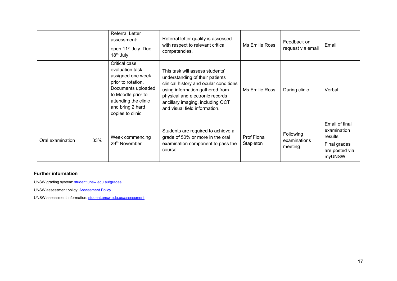|                  |     | <b>Referral Letter</b><br>assessment:<br>open 11 <sup>th</sup> July. Due<br>$18th$ July.                                                                                                 | Referral letter quality is assessed<br>with respect to relevant critical<br>competencies.                                                                                                                                                               | Ms Emilie Ross          | Feedback on<br>request via email     | Email                                                                                |
|------------------|-----|------------------------------------------------------------------------------------------------------------------------------------------------------------------------------------------|---------------------------------------------------------------------------------------------------------------------------------------------------------------------------------------------------------------------------------------------------------|-------------------------|--------------------------------------|--------------------------------------------------------------------------------------|
|                  |     | Critical case<br>evaluation task,<br>assigned one week<br>prior to rotation.<br>Documents uploaded<br>to Moodle prior to<br>attending the clinic<br>and bring 2 hard<br>copies to clinic | This task will assess students'<br>understanding of their patients<br>clinical history and ocular conditions<br>using information gathered from<br>physical and electronic records<br>ancillary imaging, including OCT<br>and visual field information. | Ms Emilie Ross          | During clinic                        | Verbal                                                                               |
| Oral examination | 33% | Week commencing<br>29 <sup>th</sup> November                                                                                                                                             | Students are required to achieve a<br>grade of 50% or more in the oral<br>examination component to pass the<br>course.                                                                                                                                  | Prof Fiona<br>Stapleton | Following<br>examinations<br>meeting | Email of final<br>examination<br>results<br>Final grades<br>are posted via<br>myUNSW |

#### **Further information**

UNSW grading system[: student.unsw.edu.au/grades](https://student.unsw.edu.au/grades)

UNSW assessment policy: **Assessment Policy** 

UNSW assessment information: student.unsw.edu.au/assessment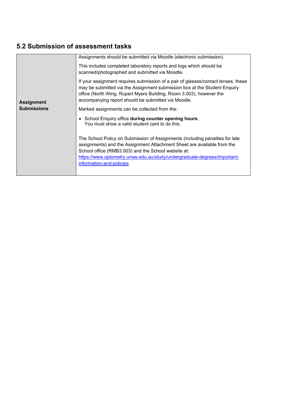### <span id="page-17-0"></span>**5.2 Submission of assessment tasks**

|                    | Assignments should be submitted via Moodle (electronic submission).                                                                                                                                                                                                                                                    |
|--------------------|------------------------------------------------------------------------------------------------------------------------------------------------------------------------------------------------------------------------------------------------------------------------------------------------------------------------|
|                    | This includes completed laboratory reports and logs which should be<br>scanned/photographed and submitted via Moodle.                                                                                                                                                                                                  |
| <b>Assignment</b>  | If your assignment requires submission of a pair of glasses/contact lenses, these<br>may be submitted via the Assignment submission box at the Student Enquiry<br>office (North Wing, Rupert Myers Building, Room 3.003), however the<br>accompanying report should be submitted via Moodle.                           |
| <b>Submissions</b> | Marked assignments can be collected from the:                                                                                                                                                                                                                                                                          |
|                    | • School Enquiry office during counter opening hours.<br>You must show a valid student card to do this.                                                                                                                                                                                                                |
|                    | The School Policy on Submission of Assignments (including penalties for late<br>assignments) and the Assignment Attachment Sheet are available from the<br>School office (RMB3.003) and the School website at:<br>https://www.optometry.unsw.edu.au/study/undergraduate-degrees/important-<br>information-and-policies |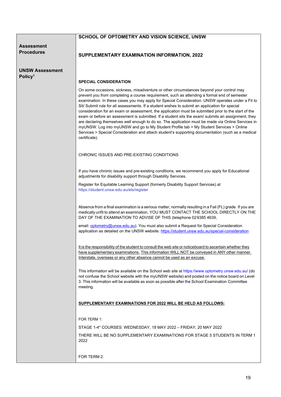#### **SCHOOL OF OPTOMETRY AND VISION SCIENCE, UNSW**

#### **Assessment Procedures**

**UNSW Assessment Policy1**

#### **SUPPLEMENTARY EXAMINATION INFORMATION, 2022**

#### **SPECIAL CONSIDERATION**

On some occasions, sickness, misadventure or other circumstances beyond your control may prevent you from completing a course requirement, such as attending a formal end of semester examination. In these cases you may apply for Special Consideration. UNSW operates under a Fit to Sit/ Submit rule for all assessments. If a student wishes to submit an application for special consideration for an exam or assessment, the application must be submitted prior to the start of the exam or before an assessment is submitted. If a student sits the exam/ submits an assignment, they are declaring themselves well enough to do so. The application must be made via Online Services in myUNSW. Log into myUNSW and go to My Student Profile tab > My Student Services > Online Services > Special Consideration and attach student's supporting documentation (such as a medical certificate).

CHRONIC ISSUES AND PRE-EXISTING CONDITIONS

If you have chronic issues and pre-existing conditions, we recommend you apply for Educational adjustments for disability support through Disability Services.

Register for Equitable Learning Support (formerly Disability Support Services) at <https://student.unsw.edu.au/els/register>

Absence from a final examination is a serious matter, normally resulting in a Fail (FL) grade. If you are medically unfit to attend an examination, YOU MUST CONTACT THE SCHOOL DIRECTLY ON THE DAY OF THE EXAMINATION TO ADVISE OF THIS (telephone 029385 4639,

email[: optometry@unsw.edu.au\)](mailto:optometry@unsw.edu.au). You must also submit a Request for Special Consideration application as detailed on the UNSW website:<https://student.unsw.edu.au/special-consideration>

It is the responsibility of the student to consult the web site or noticeboard to ascertain whether they have supplementary examinations. This information WILL NOT be conveyed in ANY other manner. Interstate, overseas or any other absence cannot be used as an excuse.

This information will be available on the School web site a[t https://www.optometry.unsw.edu.au/](https://www.optometry.unsw.edu.au/) (do not confuse the School website with the myUNSW website) and posted on the notice board on Level 3. This information will be available as soon as possible after the School Examination Committee meeting.

#### **SUPPLEMENTARY EXAMINATIONS FOR 2022 WILL BE HELD AS FOLLOWS:**

FOR TERM 1:

STAGE 1-4\* COURSES: WEDNESDAY, 18 MAY 2022 – FRIDAY, 20 MAY 2022

THERE WILL BE NO SUPPLEMENTARY EXAMINATIONS FOR STAGE 5 STUDENTS IN TERM 1 2022

FOR TERM 2: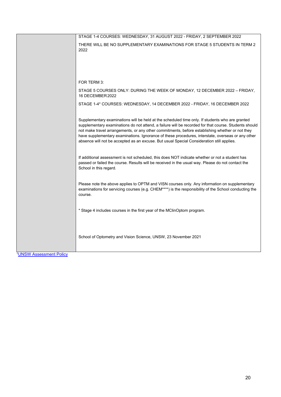| STAGE 1-4 COURSES: WEDNESDAY, 31 AUGUST 2022 - FRIDAY, 2 SEPTEMBER 2022                                                                                                                                                                                                                                                                                                                                                                                                                                       |
|---------------------------------------------------------------------------------------------------------------------------------------------------------------------------------------------------------------------------------------------------------------------------------------------------------------------------------------------------------------------------------------------------------------------------------------------------------------------------------------------------------------|
| THERE WILL BE NO SUPPLEMENTARY EXAMINATIONS FOR STAGE 5 STUDENTS IN TERM 2<br>2022                                                                                                                                                                                                                                                                                                                                                                                                                            |
|                                                                                                                                                                                                                                                                                                                                                                                                                                                                                                               |
| FOR TERM 3:                                                                                                                                                                                                                                                                                                                                                                                                                                                                                                   |
| STAGE 5 COURSES ONLY: DURING THE WEEK OF MONDAY, 12 DECEMBER 2022 - FRIDAY,<br>16 DECEMBER 2022                                                                                                                                                                                                                                                                                                                                                                                                               |
| STAGE 1-4* COURSES: WEDNESDAY, 14 DECEMBER 2022 - FRIDAY, 16 DECEMBER 2022                                                                                                                                                                                                                                                                                                                                                                                                                                    |
| Supplementary examinations will be held at the scheduled time only. If students who are granted<br>supplementary examinations do not attend, a failure will be recorded for that course. Students should<br>not make travel arrangements, or any other commitments, before establishing whether or not they<br>have supplementary examinations. Ignorance of these procedures, interstate, overseas or any other<br>absence will not be accepted as an excuse. But usual Special Consideration still applies. |
| If additional assessment is not scheduled, this does NOT indicate whether or not a student has<br>passed or failed the course. Results will be received in the usual way. Please do not contact the<br>School in this regard.                                                                                                                                                                                                                                                                                 |
| Please note the above applies to OPTM and VISN courses only. Any information on supplementary<br>examinations for servicing courses (e.g. CHEM****) is the responsibility of the School conducting the<br>course.                                                                                                                                                                                                                                                                                             |
| * Stage 4 includes courses in the first year of the MClinOptom program.                                                                                                                                                                                                                                                                                                                                                                                                                                       |
| School of Optometry and Vision Science, UNSW, 23 November 2021                                                                                                                                                                                                                                                                                                                                                                                                                                                |

[1UNSW Assessment Policy](http://www.gs.unsw.edu.au/policy/documents/assessmentpolicy.pdf)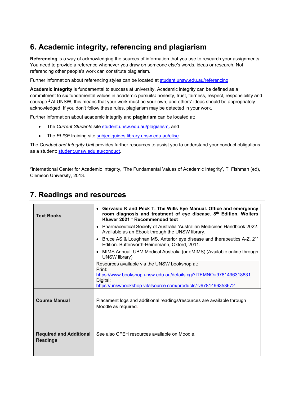### <span id="page-20-0"></span>**6. Academic integrity, referencing and plagiarism**

**Referencing** is a way of acknowledging the sources of information that you use to research your assignments. You need to provide a reference whenever you draw on someone else's words, ideas or research. Not referencing other people's work can constitute plagiarism.

Further information about referencing styles can be located at [student.unsw.edu.au/referencing](https://student.unsw.edu.au/referencing)

**Academic integrity** is fundamental to success at university. Academic integrity can be defined as a commitment to six fundamental values in academic pursuits**:** honesty, trust, fairness, respect, responsibility and courage.2 At UNSW, this means that your work must be your own, and others' ideas should be appropriately acknowledged. If you don't follow these rules, plagiarism may be detected in your work.

Further information about academic integrity and **plagiarism** can be located at:

- The *Current Students* site [student.unsw.edu.au/plagiarism](https://student.unsw.edu.au/plagiarism)*,* and
- The *ELISE* training site [subjectguides.library.unsw.edu.au/elise](http://subjectguides.library.unsw.edu.au/elise)

The *Conduct and Integrity Unit* provides further resources to assist you to understand your conduct obligations as a student: [student.unsw.edu.au/conduct.](https://student.unsw.edu.au/conduct)

2International Center for Academic Integrity, 'The Fundamental Values of Academic Integrity', T. Fishman (ed), Clemson University, 2013.

| <b>Text Books</b>                                 | • Gervasio K and Peck T. The Wills Eye Manual. Office and emergency<br>room diagnosis and treatment of eye disease. 8th Edition. Wolters<br>Kluwer 2021 * Recommended text |  |  |  |
|---------------------------------------------------|----------------------------------------------------------------------------------------------------------------------------------------------------------------------------|--|--|--|
|                                                   | • Pharmaceutical Society of Australia 'Australian Medicines Handbook 2022.<br>Available as an Ebook through the UNSW library.                                              |  |  |  |
|                                                   | • Bruce AS & Loughnan MS. Anterior eye disease and therapeutics A-Z. 2 <sup>nd</sup><br>Edition. Butterworth-Heinemann, Oxford, 2011.                                      |  |  |  |
|                                                   | • MIMS Annual. UBM Medical Australia (or eMIMS) (Available online through<br>UNSW library)                                                                                 |  |  |  |
|                                                   | Resources available via the UNSW bookshop at:<br>Print:                                                                                                                    |  |  |  |
|                                                   | https://www.bookshop.unsw.edu.au/details.cgi?ITEMNO=9781496318831<br>Digital:<br>https://unswbookshop.vitalsource.com/products/-v9781496353672                             |  |  |  |
| <b>Course Manual</b>                              | Placement logs and additional readings/resources are available through<br>Moodle as required.                                                                              |  |  |  |
| <b>Required and Additional</b><br><b>Readings</b> | See also CFEH resources available on Moodle.                                                                                                                               |  |  |  |

### <span id="page-20-1"></span>**7. Readings and resources**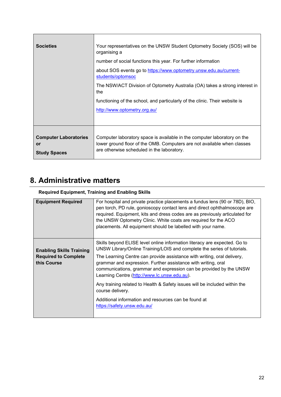| <b>Societies</b>                                                 | Your representatives on the UNSW Student Optometry Society (SOS) will be<br>organising a<br>number of social functions this year. For further information<br>about SOS events go to https://www.optometry.unsw.edu.au/current-<br>students/optomsoc |
|------------------------------------------------------------------|-----------------------------------------------------------------------------------------------------------------------------------------------------------------------------------------------------------------------------------------------------|
|                                                                  | The NSW/ACT Division of Optometry Australia (OA) takes a strong interest in<br>the                                                                                                                                                                  |
|                                                                  | functioning of the school, and particularly of the clinic. Their website is                                                                                                                                                                         |
|                                                                  | http://www.optometry.org.au/                                                                                                                                                                                                                        |
|                                                                  |                                                                                                                                                                                                                                                     |
| <b>Computer Laboratories</b><br><b>or</b><br><b>Study Spaces</b> | Computer laboratory space is available in the computer laboratory on the<br>lower ground floor of the OMB. Computers are not available when classes<br>are otherwise scheduled in the laboratory.                                                   |

### <span id="page-21-0"></span>**8. Administrative matters**

#### **Required Equipment, Training and Enabling Skills**

| <b>Equipment Required</b>                                                     | For hospital and private practice placements a fundus lens (90 or 78D), BIO,<br>pen torch, PD rule, gonioscopy contact lens and direct ophthalmoscope are<br>required. Equipment, kits and dress codes are as previously articulated for<br>the UNSW Optometry Clinic. White coats are required for the ACO<br>placements. All equipment should be labelled with your name. |
|-------------------------------------------------------------------------------|-----------------------------------------------------------------------------------------------------------------------------------------------------------------------------------------------------------------------------------------------------------------------------------------------------------------------------------------------------------------------------|
|                                                                               | Skills beyond ELISE level online information literacy are expected. Go to                                                                                                                                                                                                                                                                                                   |
| <b>Enabling Skills Training</b><br><b>Required to Complete</b><br>this Course | UNSW Library/Online Training/LOIS and complete the series of tutorials.<br>The Learning Centre can provide assistance with writing, oral delivery,<br>grammar and expression. Further assistance with writing, oral<br>communications, grammar and expression can be provided by the UNSW<br>Learning Centre (http://www.lc.unsw.edu.au).                                   |
|                                                                               | Any training related to Health & Safety issues will be included within the<br>course delivery.                                                                                                                                                                                                                                                                              |
|                                                                               | Additional information and resources can be found at<br>https://safety.unsw.edu.au/                                                                                                                                                                                                                                                                                         |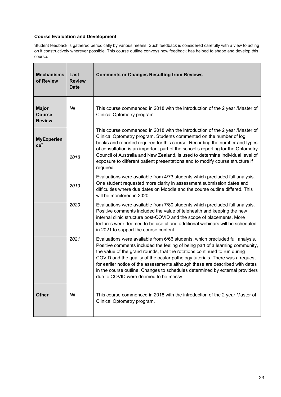#### **Course Evaluation and Development**

Student feedback is gathered periodically by various means. Such feedback is considered carefully with a view to acting on it constructively wherever possible. This course outline conveys how feedback has helped to shape and develop this course.

| <b>Mechanisms</b><br>of Review                 | Last<br><b>Review</b><br><b>Date</b> | <b>Comments or Changes Resulting from Reviews</b>                                                                                                                                                                                                                                                                                                                                                                                                                                                                                     |
|------------------------------------------------|--------------------------------------|---------------------------------------------------------------------------------------------------------------------------------------------------------------------------------------------------------------------------------------------------------------------------------------------------------------------------------------------------------------------------------------------------------------------------------------------------------------------------------------------------------------------------------------|
| <b>Major</b><br><b>Course</b><br><b>Review</b> | Nil                                  | This course commenced in 2018 with the introduction of the 2 year /Master of<br>Clinical Optometry program.                                                                                                                                                                                                                                                                                                                                                                                                                           |
| <b>MyExperien</b><br>ce <sup>2</sup>           | 2018                                 | This course commenced in 2018 with the introduction of the 2 year /Master of<br>Clinical Optometry program. Students commented on the number of log<br>books and reported required for this course. Recording the number and types<br>of consultation is an important part of the school's reporting for the Optometry<br>Council of Australia and New Zealand, is used to determine individual level of<br>exposure to different patient presentations and to modify course structure if<br>required.                                |
|                                                | 2019                                 | Evaluations were available from 4/73 students which precluded full analysis.<br>One student requested more clarity in assessment submission dates and<br>difficulties where due dates on Moodle and the course outline differed. This<br>will be monitored in 2020.                                                                                                                                                                                                                                                                   |
|                                                | 2020                                 | Evaluations were available from 7/80 students which precluded full analysis.<br>Positive comments included the value of telehealth and keeping the new<br>internal clinic structure post-COVID and the scope of placements. More<br>lectures were deemed to be useful and additional webinars will be scheduled<br>in 2021 to support the course content.                                                                                                                                                                             |
|                                                | 2021                                 | Evaluations were available from 6/66 students. which precluded full analysis.<br>Positive comments included the feeling of being part of a learning community,<br>the value of the grand rounds, that the rotations continued to run during<br>COVID and the quality of the ocular pathology tutorials. There was a request<br>for earlier notice of the assessments although these are described with dates<br>in the course outline. Changes to schedules determined by external providers<br>due to COVID were deemed to be messy. |
| <b>Other</b>                                   | Nil                                  | This course commenced in 2018 with the introduction of the 2 year Master of<br>Clinical Optometry program.                                                                                                                                                                                                                                                                                                                                                                                                                            |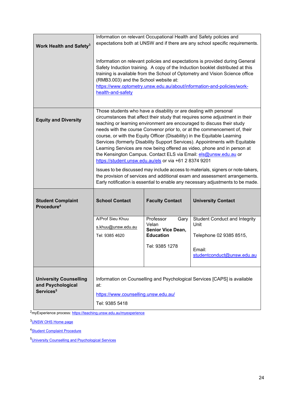|                                                                             |                                                                                                                                                                                                                                                                                                                                                                                                                                                                                                                                                                                                                                                                                                                                                                                                                                                                                                                                     |                                                                                              | Information on relevant Occupational Health and Safety policies and<br>expectations both at UNSW and if there are any school specific requirements. |  |  |  |
|-----------------------------------------------------------------------------|-------------------------------------------------------------------------------------------------------------------------------------------------------------------------------------------------------------------------------------------------------------------------------------------------------------------------------------------------------------------------------------------------------------------------------------------------------------------------------------------------------------------------------------------------------------------------------------------------------------------------------------------------------------------------------------------------------------------------------------------------------------------------------------------------------------------------------------------------------------------------------------------------------------------------------------|----------------------------------------------------------------------------------------------|-----------------------------------------------------------------------------------------------------------------------------------------------------|--|--|--|
| Work Health and Safety <sup>3</sup>                                         |                                                                                                                                                                                                                                                                                                                                                                                                                                                                                                                                                                                                                                                                                                                                                                                                                                                                                                                                     |                                                                                              |                                                                                                                                                     |  |  |  |
|                                                                             | Information on relevant policies and expectations is provided during General<br>Safety Induction training. A copy of the Induction booklet distributed at this<br>training is available from the School of Optometry and Vision Science office<br>(RMB3.003) and the School website at:<br>https://www.optometry.unsw.edu.au/about/information-and-policies/work-<br>health-and-safety                                                                                                                                                                                                                                                                                                                                                                                                                                                                                                                                              |                                                                                              |                                                                                                                                                     |  |  |  |
| <b>Equity and Diversity</b>                                                 | Those students who have a disability or are dealing with personal<br>circumstances that affect their study that requires some adjustment in their<br>teaching or learning environment are encouraged to discuss their study<br>needs with the course Convenor prior to, or at the commencement of, their<br>course, or with the Equity Officer (Disability) in the Equitable Learning<br>Services (formerly Disability Support Services). Appointments with Equitable<br>Learning Services are now being offered as video, phone and in person at<br>the Kensington Campus. Contact ELS via Email: els@unsw.edu.au or<br>https://student.unsw.edu.au/els or via +61 2 8374 9201<br>Issues to be discussed may include access to materials, signers or note-takers,<br>the provision of services and additional exam and assessment arrangements.<br>Early notification is essential to enable any necessary adjustments to be made. |                                                                                              |                                                                                                                                                     |  |  |  |
| <b>Student Complaint</b><br>Procedure <sup>4</sup>                          | <b>School Contact</b>                                                                                                                                                                                                                                                                                                                                                                                                                                                                                                                                                                                                                                                                                                                                                                                                                                                                                                               | <b>Faculty Contact</b>                                                                       | <b>University Contact</b>                                                                                                                           |  |  |  |
|                                                                             | A/Prof Sieu Khuu<br>s.khuu@unsw.edu.au<br>Tel: 9385 4620                                                                                                                                                                                                                                                                                                                                                                                                                                                                                                                                                                                                                                                                                                                                                                                                                                                                            | Professor<br>Gary<br>Velan<br><b>Senior Vice Dean,</b><br><b>Education</b><br>Tel: 9385 1278 | <b>Student Conduct and Integrity</b><br>Unit<br>Telephone 02 9385 8515,<br>Email:<br>studentconduct@unsw.edu.au                                     |  |  |  |
| <b>University Counselling</b><br>and Psychological<br>Services <sup>5</sup> | Information on Counselling and Psychological Services [CAPS] is available<br>at:<br>https://www.counselling.unsw.edu.au/<br>Tel: 9385 5418                                                                                                                                                                                                                                                                                                                                                                                                                                                                                                                                                                                                                                                                                                                                                                                          |                                                                                              |                                                                                                                                                     |  |  |  |

2myExperience process:<https://teaching.unsw.edu.au/myexperience>

[3UNSW OHS Home page](https://safety.unsw.edu.au/)

4**Student Complaint Procedure** 

[5University Counselling and Psychological Services](https://nucleus.unsw.edu.au/en/student-wellbeing/counselling-and-psychological-services)